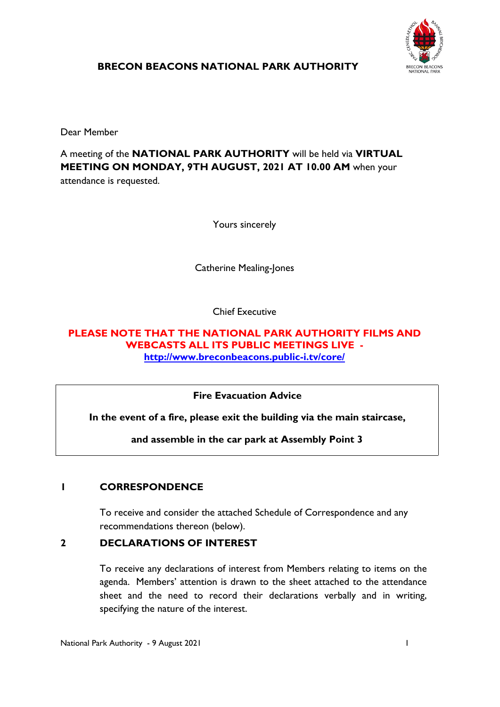

**BRECON BEACONS NATIONAL PARK AUTHORITY**

Dear Member

A meeting of the **NATIONAL PARK AUTHORITY** will be held via **VIRTUAL MEETING ON MONDAY, 9TH AUGUST, 2021 AT 10.00 AM** when your attendance is requested.

Yours sincerely

Catherine Mealing-Jones

Chief Executive

#### **PLEASE NOTE THAT THE NATIONAL PARK AUTHORITY FILMS AND WEBCASTS ALL ITS PUBLIC MEETINGS LIVE <http://www.breconbeacons.public-i.tv/core/>**

**Fire Evacuation Advice**

**In the event of a fire, please exit the building via the main staircase,**

**and assemble in the car park at Assembly Point 3**

# **1 CORRESPONDENCE**

To receive and consider the attached Schedule of Correspondence and any recommendations thereon (below).

# **2 DECLARATIONS OF INTEREST**

To receive any declarations of interest from Members relating to items on the agenda. Members' attention is drawn to the sheet attached to the attendance sheet and the need to record their declarations verbally and in writing, specifying the nature of the interest.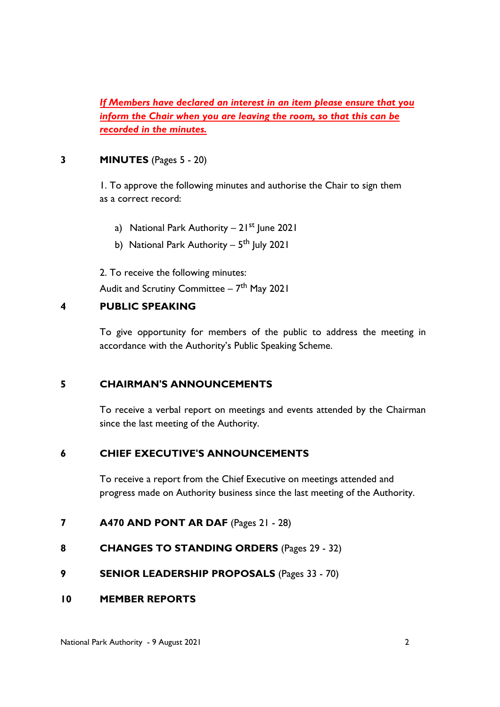*If Members have declared an interest in an item please ensure that you inform the Chair when you are leaving the room, so that this can be recorded in the minutes.*

### **3 MINUTES** (Pages 5 - 20)

1. To approve the following minutes and authorise the Chair to sign them as a correct record:

- a) National Park Authority  $21^{st}$  June 2021
- b) National Park Authority 5<sup>th</sup> July 2021

2. To receive the following minutes: Audit and Scrutiny Committee – 7<sup>th</sup> May 2021

## **4 PUBLIC SPEAKING**

To give opportunity for members of the public to address the meeting in accordance with the Authority's Public Speaking Scheme.

#### **5 CHAIRMAN'S ANNOUNCEMENTS**

To receive a verbal report on meetings and events attended by the Chairman since the last meeting of the Authority.

# **6 CHIEF EXECUTIVE'S ANNOUNCEMENTS**

To receive a report from the Chief Executive on meetings attended and progress made on Authority business since the last meeting of the Authority.

# **7 A470 AND PONT AR DAF** (Pages 21 - 28)

- **8 CHANGES TO STANDING ORDERS** (Pages 29 32)
- **9 SENIOR LEADERSHIP PROPOSALS** (Pages 33 70)

#### **10 MEMBER REPORTS**